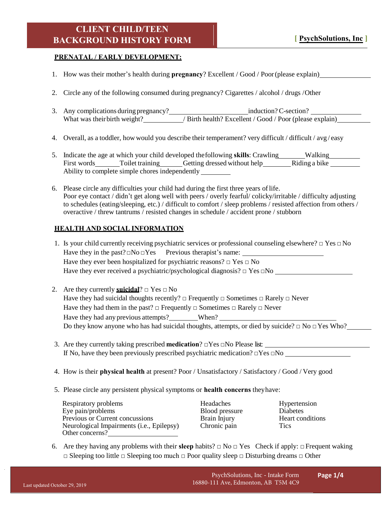## **CLIENT CHILD/TEEN BACKGROUND HISTORY FORM**

#### **PRENATAL / EARLY DEVELOPMENT:**

- 1. How was their mother's health during **pregnancy**? Excellent / Good / Poor(please explain)
- 2. Circle any of the following consumed during pregnancy? Cigarettes / alcohol / drugs /Other
- 3. Any complications during pregnancy?<br>
induction? C-section? What was their birth weight? / Birth health? Excellent / Good / Poor (please explain)
- 4. Overall, as a toddler, how would you describe their temperament? very difficult / difficult / avg / easy
- 5. Indicate the age at which your child developed the following **skills**: Crawling Walking Walking First words Toilet training Getting dressed without help Riding a bike Ability to complete simple chores independently
- 6. Please circle any difficulties your child had during the first three years oflife. Poor eye contact / didn't get along well with peers / overly fearful/ colicky/irritable / difficulty adjusting to schedules (eating/sleeping, etc.) / difficult to comfort / sleep problems / resisted affection from others / overactive / threw tantrums / resisted changes in schedule / accident prone / stubborn

### **HEALTH AND SOCIAL INFORMATION**

- 1. Is your child currently receiving psychiatric services or professional counseling elsewhere?  $\Box$  Yes  $\Box$  No Have they in the past? $\Box$ No  $\Box$ Yes Previous therapist's name: Have they ever been hospitalized for psychiatric reasons?  $\Box$  Yes  $\Box$  No Have they ever received a psychiatric/psychological diagnosis?  $\Box$  Yes  $\Box$ No
- 2. Are they currently **suicidal**?  $\Box$  Yes  $\Box$  No Have they had suicidal thoughts recently?  $\Box$  Frequently  $\Box$  Sometimes  $\Box$  Rarely  $\Box$  Never Have they had them in the past?  $\Box$  Frequently  $\Box$  Sometimes  $\Box$  Rarely  $\Box$  Never Have they had any previous attempts? When? Do they know anyone who has had suicidal thoughts, attempts, or died by suicide?  $\Box$  No  $\Box$  Yes Who?
- 3. Are they currently taking prescribed **medication**? □Yes □No Please list: If No, have they been previously prescribed psychiatric medication?  $\Box$  Yes  $\Box$  No
- 4. How is their **physical health** at present? Poor / Unsatisfactory / Satisfactory / Good / Very good
- 5. Please circle any persistent physical symptoms or **health concerns** theyhave:

Respiratory problems Headaches Hypertension Eye pain/problems Blood pressure Diabetes<br>
Previous or Current concussions Brain Iniury Heart conditions Previous or Current concussions Brain Injury Neurological Impairments (i.e., Epilepsy) Chronic pain Tics Other concerns?

6. Are they having any problems with their **sleep** habits?  $\Box$  No  $\Box$  Yes Check if apply:  $\Box$  Frequent waking □ Sleeping too little □ Sleeping too much □ Poor quality sleep □ Disturbing dreams □ Other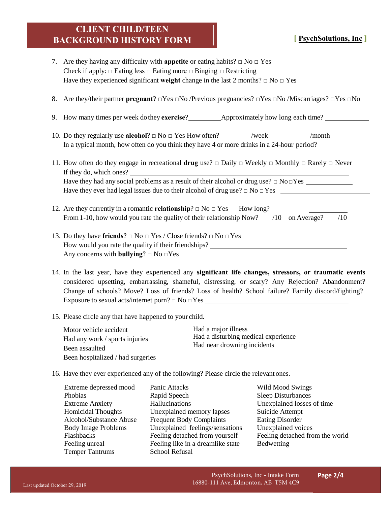# **CLIENT CHILD/TEEN BACKGROUND HISTORY FORM**

- 7. Are they having any difficulty with **appetite** or eating habits?  $\Box$  No  $\Box$  Yes Check if apply:  $\Box$  Eating less  $\Box$  Eating more  $\Box$  Binging  $\Box$  Restricting Have they experienced significant **weight** change in the last 2 months?  $\Box$  No  $\Box$  Yes
- 8. Are they/their partner **pregnant**? □Yes □No /Previous pregnancies? □Yes □No /Miscarriages? □Yes □No
- 9. How many times per week dothey **exercise**? Approximately how long each time?
- 10. Do they regularly use **alcohol**? □ No □ Yes How often? /week /week /month In a typical month, how often do you think they have 4 or more drinks in a 24-hour period?
- 11. How often do they engage in recreational **drug** use? □ Daily □ Weekly □ Monthly □ Rarely □ Never If they do, which ones? Have they had any social problems as a result of their alcohol or drug use?  $\Box$  No $\Box$ Yes Have they ever had legal issues due to their alcohol of drug use? □ No □Yes
- 12. Are they currently in a romantic **relationship**?  $\Box$  No  $\Box$  Yes How long? From 1-10, how would you rate the quality of their relationship Now?  $/10$  on Average?  $/10$
- 13. Do they have **friends**? □ No □ Yes / Close friends? □ No □Yes How would you rate the quality if their friendships? Any concerns with **bullying**?  $\Box$  No  $\Box$ Yes
- 14. In the last year, have they experienced any **significant life changes, stressors, or traumatic events** considered upsetting, embarrassing, shameful, distressing, or scary? Any Rejection? Abandonment? Change of schools? Move? Loss of friends? Loss of health? School failure? Family discord/fighting? Exposure to sexual acts/internet porn? □ No □Yes
- 15. Please circle any that have happened to your child.

Motor vehicle accident Had any work / sports injuries Been assaulted Been hospitalized / had surgeries Had a major illness Had a disturbing medical experience Had near drowning incidents

16. Have they ever experienced any of the following? Please circle the relevant ones.

| Extreme depressed mood     | Panic Attacks                     | Wild Mood Swings          |
|----------------------------|-----------------------------------|---------------------------|
| Phobias                    | Rapid Speech                      | <b>Sleep Disturbances</b> |
| <b>Extreme Anxiety</b>     | Hallucinations                    | <b>Unexplained losses</b> |
| <b>Homicidal Thoughts</b>  | Unexplained memory lapses         | Suicide Attempt           |
| Alcohol/Substance Abuse    | <b>Frequent Body Complaints</b>   | <b>Eating Disorder</b>    |
| <b>Body Image Problems</b> | Unexplained feelings/sensations   | Unexplained voices        |
| Flashbacks                 | Feeling detached from yourself    | Feeling detached fro      |
| Feeling unreal             | Feeling like in a dreamlike state | Bedwetting                |
| <b>Temper Tantrums</b>     | School Refusal                    |                           |

- **Phobias Rapid Speech Sleep Disturbances** Hallucinations Unexplained losses of time Unexplained memory lapses Suicide Attempt Frequent Body Complaints Eating Disorder Unexplained feelings/sensations Unexplained voices Feeling like in a dreamlike state Bedwetting School Refusal
- Feeling detached from yourself Feeling detached from the world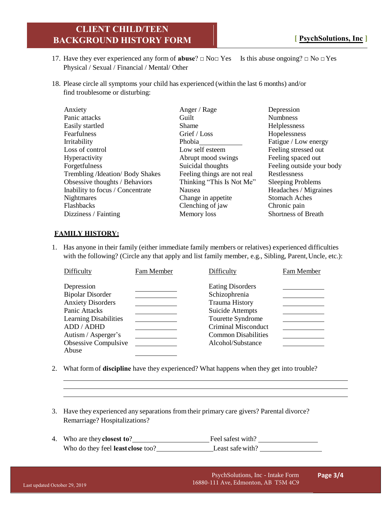### **CLIENT CHILD/TEEN BACKGROUND HISTORY FORM**

- 17. Have they ever experienced any form of **abuse**? □ No□ Yes Is this abuse ongoing? □ No □Yes Physical / Sexual / Financial / Mental/ Other
- 18. Please circle all symptoms your child has experienced (within the last 6 months) and/or find troublesome or disturbing:

| Anxiety                           | Anger / Rage                | Depression                 |
|-----------------------------------|-----------------------------|----------------------------|
| Panic attacks                     | Guilt                       | <b>Numbness</b>            |
| Easily startled                   | <b>Shame</b>                | Helplessness               |
| Fearfulness                       | Grief / Loss                | Hopelessness               |
| Irritability                      | Phobia                      | Fatigue / Low energy       |
| Loss of control                   | Low self esteem             | Feeling stressed out       |
| Hyperactivity                     | Abrupt mood swings          | Feeling spaced out         |
| Forgetfulness                     | Suicidal thoughts           | Feeling outside your body  |
| Trembling / Ideation/ Body Shakes | Feeling things are not real | Restlessness               |
| Obsessive thoughts / Behaviors    | Thinking "This Is Not Me"   | <b>Sleeping Problems</b>   |
| Inability to focus / Concentrate  | Nausea                      | Headaches / Migraines      |
| <b>Nightmares</b>                 | Change in appetite.         | <b>Stomach Aches</b>       |
| Flashbacks                        | Clenching of jaw            | Chronic pain               |
| Dizziness / Fainting              | Memory loss                 | <b>Shortness of Breath</b> |

#### **FAMILY HISTORY:**

1. Has anyone in their family (either immediate family members or relatives) experienced difficulties with the following? (Circle any that apply and list family member, e.g., Sibling, Parent, Uncle, etc.):

| Difficulty                                  | Fam Member | Difficulty                                      | Fam Member |
|---------------------------------------------|------------|-------------------------------------------------|------------|
| Depression<br><b>Bipolar Disorder</b>       |            | <b>Eating Disorders</b><br>Schizophrenia        |            |
| <b>Anxiety Disorders</b><br>Panic Attacks   |            | <b>Trauma History</b><br>Suicide Attempts       |            |
| <b>Learning Disabilities</b><br>ADD / ADHD  |            | Tourette Syndrome<br>Criminal Misconduct        |            |
| Autism / Asperger's<br>Obsessive Compulsive |            | <b>Common Disabilities</b><br>Alcohol/Substance |            |
| Abuse                                       |            |                                                 |            |

- 2. What form of **discipline** have they experienced? What happens when they get into trouble?
- 3. Have they experienced any separations fromtheir primary care givers? Parental divorce? Remarriage? Hospitalizations?
- 4. Who are they**closest to**? Feel safest with? Who do they feel **least close** too? Least safe with?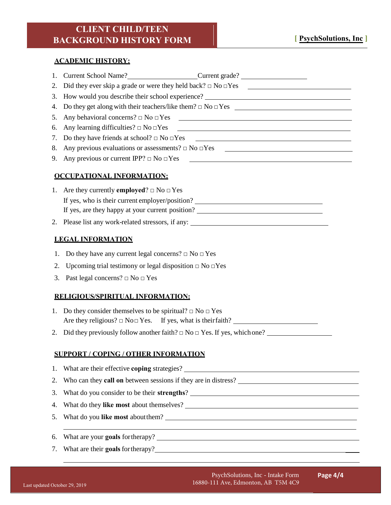#### **ACADEMIC HISTORY:**

| 2.<br>How would you describe their school experience? _________________________________<br>3.<br>4.<br>5.<br>Any learning difficulties? $\Box$ No $\Box$ Yes<br>6.<br><u> 1989 - Johann Harry Harry Harry Harry Harry Harry Harry Harry Harry Harry Harry Harry Harry Harry Harry Harry</u><br>7.<br>Any previous evaluations or assessments? $\Box$ No $\Box$ Yes<br>8.<br>9.<br><b>OCCUPATIONAL INFORMATION:</b><br>1. Are they currently <b>employed</b> ? $\Box$ No $\Box$ Yes<br>If yes, who is their current employer/position?<br>If yes, are they happy at your current position?<br>2. Please list any work-related stressors, if any:<br><b>LEGAL INFORMATION</b><br>Do they have any current legal concerns? $\Box$ No $\Box$ Yes<br>1.<br>Upcoming trial testimony or legal disposition $\Box$ No $\Box$ Yes<br>2.<br>Past legal concerns? $\Box$ No $\Box$ Yes<br>3.<br>RELIGIOUS/SPIRITUAL INFORMATION:<br>1. Do they consider themselves to be spiritual? $\Box$ No $\Box$ Yes<br>Did they previously follow another faith? $\Box$ No $\Box$ Yes. If yes, which one?<br>2.<br><b>SUPPORT / COPING / OTHER INFORMATION</b><br>What are their effective coping strategies?<br>1.<br>2.<br>3.<br>4.<br>5. | 1. | Current School Name?<br><u>Current grade?</u>                         |  |  |  |
|-----------------------------------------------------------------------------------------------------------------------------------------------------------------------------------------------------------------------------------------------------------------------------------------------------------------------------------------------------------------------------------------------------------------------------------------------------------------------------------------------------------------------------------------------------------------------------------------------------------------------------------------------------------------------------------------------------------------------------------------------------------------------------------------------------------------------------------------------------------------------------------------------------------------------------------------------------------------------------------------------------------------------------------------------------------------------------------------------------------------------------------------------------------------------------------------------------------------------|----|-----------------------------------------------------------------------|--|--|--|
|                                                                                                                                                                                                                                                                                                                                                                                                                                                                                                                                                                                                                                                                                                                                                                                                                                                                                                                                                                                                                                                                                                                                                                                                                       |    |                                                                       |  |  |  |
|                                                                                                                                                                                                                                                                                                                                                                                                                                                                                                                                                                                                                                                                                                                                                                                                                                                                                                                                                                                                                                                                                                                                                                                                                       |    |                                                                       |  |  |  |
|                                                                                                                                                                                                                                                                                                                                                                                                                                                                                                                                                                                                                                                                                                                                                                                                                                                                                                                                                                                                                                                                                                                                                                                                                       |    |                                                                       |  |  |  |
|                                                                                                                                                                                                                                                                                                                                                                                                                                                                                                                                                                                                                                                                                                                                                                                                                                                                                                                                                                                                                                                                                                                                                                                                                       |    |                                                                       |  |  |  |
|                                                                                                                                                                                                                                                                                                                                                                                                                                                                                                                                                                                                                                                                                                                                                                                                                                                                                                                                                                                                                                                                                                                                                                                                                       |    |                                                                       |  |  |  |
|                                                                                                                                                                                                                                                                                                                                                                                                                                                                                                                                                                                                                                                                                                                                                                                                                                                                                                                                                                                                                                                                                                                                                                                                                       |    |                                                                       |  |  |  |
|                                                                                                                                                                                                                                                                                                                                                                                                                                                                                                                                                                                                                                                                                                                                                                                                                                                                                                                                                                                                                                                                                                                                                                                                                       |    |                                                                       |  |  |  |
|                                                                                                                                                                                                                                                                                                                                                                                                                                                                                                                                                                                                                                                                                                                                                                                                                                                                                                                                                                                                                                                                                                                                                                                                                       |    |                                                                       |  |  |  |
|                                                                                                                                                                                                                                                                                                                                                                                                                                                                                                                                                                                                                                                                                                                                                                                                                                                                                                                                                                                                                                                                                                                                                                                                                       |    |                                                                       |  |  |  |
|                                                                                                                                                                                                                                                                                                                                                                                                                                                                                                                                                                                                                                                                                                                                                                                                                                                                                                                                                                                                                                                                                                                                                                                                                       |    |                                                                       |  |  |  |
|                                                                                                                                                                                                                                                                                                                                                                                                                                                                                                                                                                                                                                                                                                                                                                                                                                                                                                                                                                                                                                                                                                                                                                                                                       |    |                                                                       |  |  |  |
|                                                                                                                                                                                                                                                                                                                                                                                                                                                                                                                                                                                                                                                                                                                                                                                                                                                                                                                                                                                                                                                                                                                                                                                                                       |    |                                                                       |  |  |  |
|                                                                                                                                                                                                                                                                                                                                                                                                                                                                                                                                                                                                                                                                                                                                                                                                                                                                                                                                                                                                                                                                                                                                                                                                                       |    |                                                                       |  |  |  |
|                                                                                                                                                                                                                                                                                                                                                                                                                                                                                                                                                                                                                                                                                                                                                                                                                                                                                                                                                                                                                                                                                                                                                                                                                       |    |                                                                       |  |  |  |
|                                                                                                                                                                                                                                                                                                                                                                                                                                                                                                                                                                                                                                                                                                                                                                                                                                                                                                                                                                                                                                                                                                                                                                                                                       |    |                                                                       |  |  |  |
|                                                                                                                                                                                                                                                                                                                                                                                                                                                                                                                                                                                                                                                                                                                                                                                                                                                                                                                                                                                                                                                                                                                                                                                                                       |    |                                                                       |  |  |  |
|                                                                                                                                                                                                                                                                                                                                                                                                                                                                                                                                                                                                                                                                                                                                                                                                                                                                                                                                                                                                                                                                                                                                                                                                                       |    |                                                                       |  |  |  |
|                                                                                                                                                                                                                                                                                                                                                                                                                                                                                                                                                                                                                                                                                                                                                                                                                                                                                                                                                                                                                                                                                                                                                                                                                       |    |                                                                       |  |  |  |
|                                                                                                                                                                                                                                                                                                                                                                                                                                                                                                                                                                                                                                                                                                                                                                                                                                                                                                                                                                                                                                                                                                                                                                                                                       |    |                                                                       |  |  |  |
|                                                                                                                                                                                                                                                                                                                                                                                                                                                                                                                                                                                                                                                                                                                                                                                                                                                                                                                                                                                                                                                                                                                                                                                                                       |    |                                                                       |  |  |  |
|                                                                                                                                                                                                                                                                                                                                                                                                                                                                                                                                                                                                                                                                                                                                                                                                                                                                                                                                                                                                                                                                                                                                                                                                                       |    |                                                                       |  |  |  |
|                                                                                                                                                                                                                                                                                                                                                                                                                                                                                                                                                                                                                                                                                                                                                                                                                                                                                                                                                                                                                                                                                                                                                                                                                       |    |                                                                       |  |  |  |
|                                                                                                                                                                                                                                                                                                                                                                                                                                                                                                                                                                                                                                                                                                                                                                                                                                                                                                                                                                                                                                                                                                                                                                                                                       |    |                                                                       |  |  |  |
|                                                                                                                                                                                                                                                                                                                                                                                                                                                                                                                                                                                                                                                                                                                                                                                                                                                                                                                                                                                                                                                                                                                                                                                                                       |    |                                                                       |  |  |  |
|                                                                                                                                                                                                                                                                                                                                                                                                                                                                                                                                                                                                                                                                                                                                                                                                                                                                                                                                                                                                                                                                                                                                                                                                                       |    | Who can they <b>call on</b> between sessions if they are in distress? |  |  |  |
|                                                                                                                                                                                                                                                                                                                                                                                                                                                                                                                                                                                                                                                                                                                                                                                                                                                                                                                                                                                                                                                                                                                                                                                                                       |    |                                                                       |  |  |  |
|                                                                                                                                                                                                                                                                                                                                                                                                                                                                                                                                                                                                                                                                                                                                                                                                                                                                                                                                                                                                                                                                                                                                                                                                                       |    |                                                                       |  |  |  |
|                                                                                                                                                                                                                                                                                                                                                                                                                                                                                                                                                                                                                                                                                                                                                                                                                                                                                                                                                                                                                                                                                                                                                                                                                       |    |                                                                       |  |  |  |
| 6.                                                                                                                                                                                                                                                                                                                                                                                                                                                                                                                                                                                                                                                                                                                                                                                                                                                                                                                                                                                                                                                                                                                                                                                                                    |    |                                                                       |  |  |  |

7. What are their **goals** fortherapy?

 $\overline{\phantom{0}}$